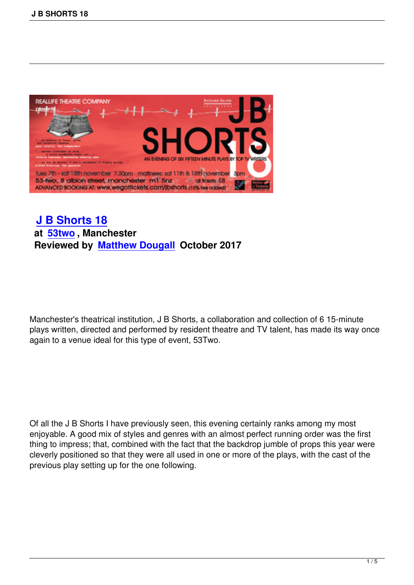

## **J B Shorts 18 at 53two , Manchester [Reviewed by Ma](j-b-shorts-18.html)tthew Dougall October 2017**

Manchester's theatrical institution, J B Shorts, a collaboration and collection of 6 15-minute plays written, directed and performed by resident theatre and TV talent, has made its way once again to a venue ideal for this type of event, 53Two.

Of all the J B Shorts I have previously seen, this evening certainly ranks among my most enjoyable. A good mix of styles and genres with an almost perfect running order was the first thing to impress; that, combined with the fact that the backdrop jumble of props this year were cleverly positioned so that they were all used in one or more of the plays, with the cast of the previous play setting up for the one following.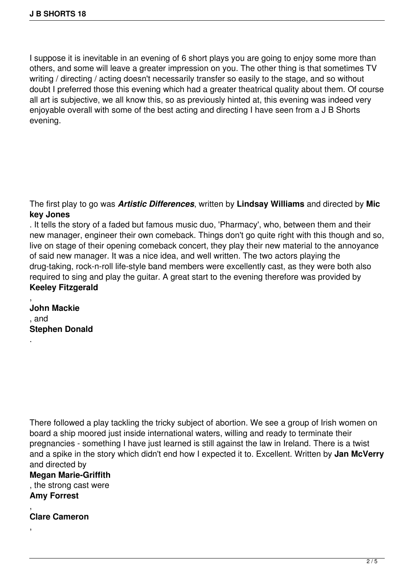I suppose it is inevitable in an evening of 6 short plays you are going to enjoy some more than others, and some will leave a greater impression on you. The other thing is that sometimes TV writing / directing / acting doesn't necessarily transfer so easily to the stage, and so without doubt I preferred those this evening which had a greater theatrical quality about them. Of course all art is subjective, we all know this, so as previously hinted at, this evening was indeed very enjoyable overall with some of the best acting and directing I have seen from a J B Shorts evening.

The first play to go was *Artistic Differences*, written by **Lindsay Williams** and directed by **Mic key Jones**

. It tells the story of a faded but famous music duo, 'Pharmacy', who, between them and their new manager, engineer their own comeback. Things don't go quite right with this though and so, live on stage of their opening comeback concert, they play their new material to the annoyance of said new manager. It was a nice idea, and well written. The two actors playing the drug-taking, rock-n-roll life-style band members were excellently cast, as they were both also required to sing and play the guitar. A great start to the evening therefore was provided by **Keeley Fitzgerald**

**John Mackie** , and **Stephen Donald**

,

.

There followed a play tackling the tricky subject of abortion. We see a group of Irish women on board a ship moored just inside international waters, willing and ready to terminate their pregnancies - something I have just learned is still against the law in Ireland. There is a twist and a spike in the story which didn't end how I expected it to. Excellent. Written by **Jan McVerry** and directed by

**Megan Marie-Griffith** , the strong cast were **Amy Forrest**

, **Clare Cameron**

,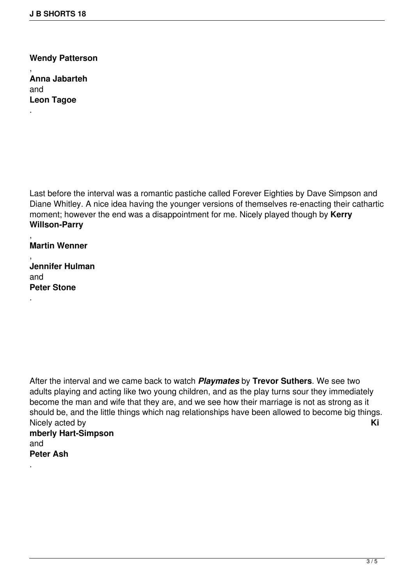**Wendy Patterson**

**Anna Jabarteh** and **Leon Tagoe**

,

.

Last before the interval was a romantic pastiche called Forever Eighties by Dave Simpson and Diane Whitley. A nice idea having the younger versions of themselves re-enacting their cathartic moment; however the end was a disappointment for me. Nicely played though by **Kerry Willson-Parry**

, **Martin Wenner**

, **Jennifer Hulman** and **Peter Stone**

.

.

After the interval and we came back to watch *Playmates* by **Trevor Suthers**. We see two adults playing and acting like two young children, and as the play turns sour they immediately become the man and wife that they are, and we see how their marriage is not as strong as it should be, and the little things which nag relationships have been allowed to become big things. Nicely acted by **Ki mberly Hart-Simpson** and **Peter Ash**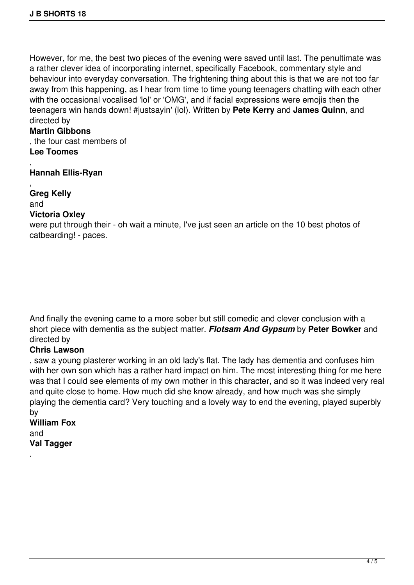However, for me, the best two pieces of the evening were saved until last. The penultimate was a rather clever idea of incorporating internet, specifically Facebook, commentary style and behaviour into everyday conversation. The frightening thing about this is that we are not too far away from this happening, as I hear from time to time young teenagers chatting with each other with the occasional vocalised 'lol' or 'OMG', and if facial expressions were emojis then the teenagers win hands down! #justsayin' (lol). Written by **Pete Kerry** and **James Quinn**, and directed by

## **Martin Gibbons**

, the four cast members of **Lee Toomes**

, **Hannah Ellis-Ryan**

, **Greg Kelly** and

## **Victoria Oxley**

were put through their - oh wait a minute, I've just seen an article on the 10 best photos of catbearding! - paces.

And finally the evening came to a more sober but still comedic and clever conclusion with a short piece with dementia as the subject matter. *Flotsam And Gypsum* by **Peter Bowker** and directed by

## **Chris Lawson**

, saw a young plasterer working in an old lady's flat. The lady has dementia and confuses him with her own son which has a rather hard impact on him. The most interesting thing for me here was that I could see elements of my own mother in this character, and so it was indeed very real and quite close to home. How much did she know already, and how much was she simply playing the dementia card? Very touching and a lovely way to end the evening, played superbly by

**William Fox** and **Val Tagger**

.